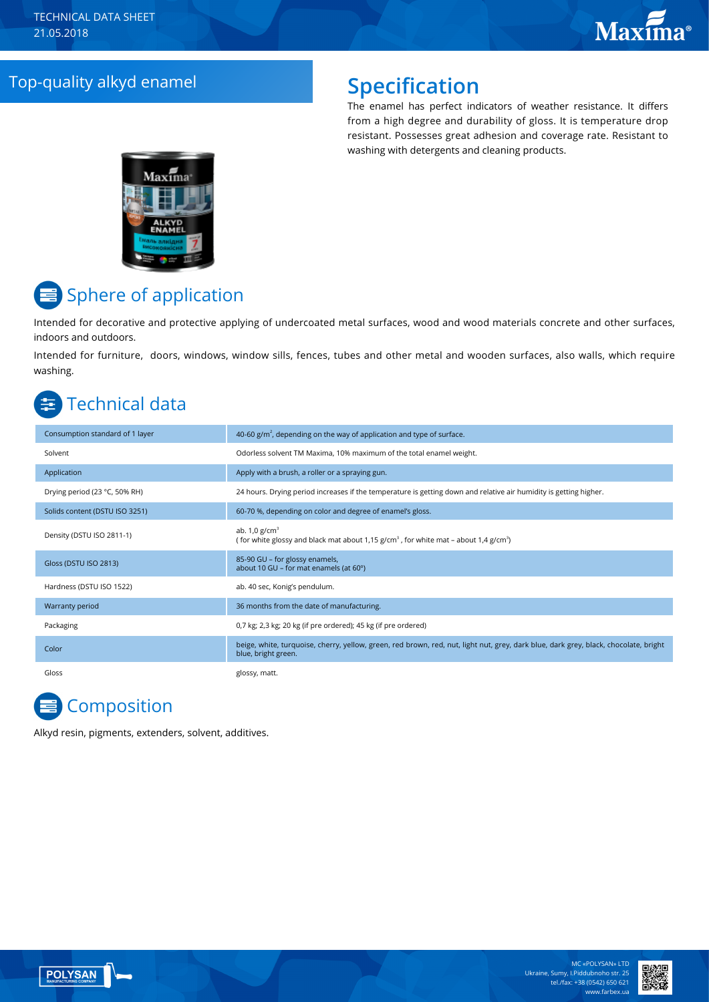## Top-quality alkyd enamel **Specification**

The enamel has perfect indicators of weather resistance. It differs from a high degree and durability of gloss. It is temperature drop resistant. Possesses great adhesion and coverage rate. Resistant to washing with detergents and cleaning products.



# Sphere of application

Intended for decorative and protective applying of undercoated metal surfaces, wood and wood materials concrete and other surfaces, indoors and outdoors.

Intended for furniture, doors, windows, window sills, fences, tubes and other metal and wooden surfaces, also walls, which require washing.

# Technical data

| Consumption standard of 1 layer | 40-60 $g/m2$ , depending on the way of application and type of surface.                                                                                     |
|---------------------------------|-------------------------------------------------------------------------------------------------------------------------------------------------------------|
| Solvent                         | Odorless solvent TM Maxima, 10% maximum of the total enamel weight.                                                                                         |
| Application                     | Apply with a brush, a roller or a spraying gun.                                                                                                             |
| Drying period (23 °C, 50% RH)   | 24 hours. Drying period increases if the temperature is getting down and relative air humidity is getting higher.                                           |
| Solids content (DSTU ISO 3251)  | 60-70 %, depending on color and degree of enamel's gloss.                                                                                                   |
| Density (DSTU ISO 2811-1)       | ab. $1,0$ g/cm <sup>3</sup><br>(for white glossy and black mat about 1,15 g/cm <sup>3</sup> , for white mat – about 1,4 g/cm <sup>3</sup> )                 |
| Gloss (DSTU ISO 2813)           | 85-90 GU - for glossy enamels,<br>about 10 GU - for mat enamels (at 60°)                                                                                    |
| Hardness (DSTU ISO 1522)        | ab. 40 sec, Konig's pendulum.                                                                                                                               |
| Warranty period                 | 36 months from the date of manufacturing.                                                                                                                   |
| Packaging                       | 0,7 kg; 2,3 kg; 20 kg (if pre ordered); 45 kg (if pre ordered)                                                                                              |
| Color                           | beige, white, turquoise, cherry, yellow, green, red brown, red, nut, light nut, grey, dark blue, dark grey, black, chocolate, bright<br>blue, bright green. |
| Gloss                           | glossy, matt.                                                                                                                                               |

# **Composition**

Alkyd resin, pigments, extenders, solvent, additives.